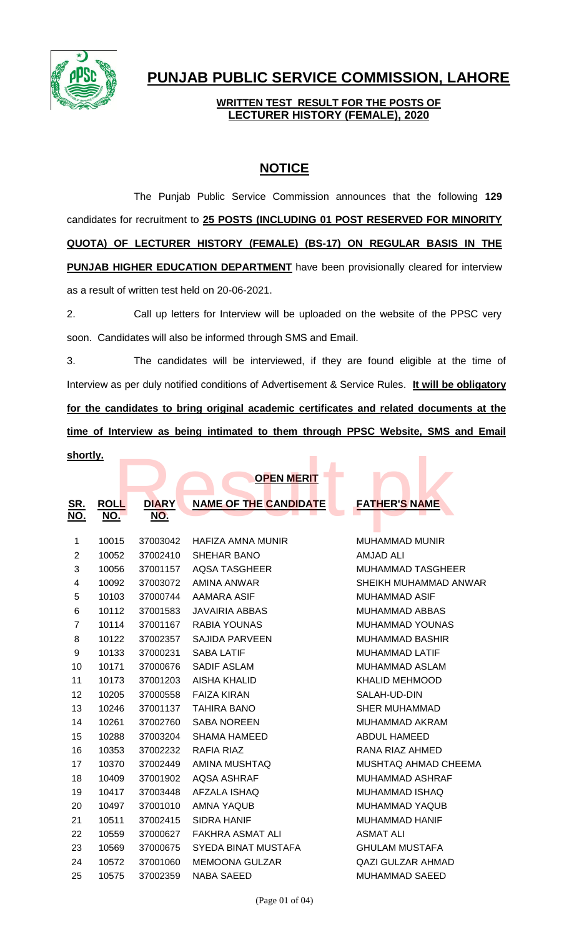

# **PUNJAB PUBLIC SERVICE COMMISSION, LAHORE**

### **WRITTEN TEST RESULT FOR THE POSTS OF LECTURER HISTORY (FEMALE), 2020**

## **NOTICE**

The Punjab Public Service Commission announces that the following **129** candidates for recruitment to **25 POSTS (INCLUDING 01 POST RESERVED FOR MINORITY QUOTA) OF LECTURER HISTORY (FEMALE) (BS-17) ON REGULAR BASIS IN THE PUNJAB HIGHER EDUCATION DEPARTMENT** have been provisionally cleared for interview as a result of written test held on 20-06-2021.

2. Call up letters for Interview will be uploaded on the website of the PPSC very soon. Candidates will also be informed through SMS and Email.

3. The candidates will be interviewed, if they are found eligible at the time of Interview as per duly notified conditions of Advertisement & Service Rules. **It will be obligatory for the candidates to bring original academic certificates and related documents at the time of Interview as being intimated to them through PPSC Website, SMS and Email** 

| shortly.       |             |              |                              |                          |  |
|----------------|-------------|--------------|------------------------------|--------------------------|--|
|                |             |              | <b>OPEN MERIT</b>            |                          |  |
|                |             |              |                              |                          |  |
| SR.            | <b>ROLL</b> | <b>DIARY</b> | <b>NAME OF THE CANDIDATE</b> | <b>FATHER'S NAME</b>     |  |
| NO.            | NO.         | NO.          |                              |                          |  |
|                |             |              |                              |                          |  |
| 1              | 10015       | 37003042     | HAFIZA AMNA MUNIR            | <b>MUHAMMAD MUNIR</b>    |  |
| $\overline{2}$ | 10052       | 37002410     | <b>SHEHAR BANO</b>           | <b>AMJAD ALI</b>         |  |
| 3              | 10056       | 37001157     | <b>AQSA TASGHEER</b>         | <b>MUHAMMAD TASGHEER</b> |  |
| 4              | 10092       | 37003072     | <b>AMINA ANWAR</b>           | SHEIKH MUHAMMAD ANWAR    |  |
| 5              | 10103       | 37000744     | AAMARA ASIF                  | <b>MUHAMMAD ASIF</b>     |  |
| 6              | 10112       | 37001583     | <b>JAVAIRIA ABBAS</b>        | <b>MUHAMMAD ABBAS</b>    |  |
| $\overline{7}$ | 10114       | 37001167     | <b>RABIA YOUNAS</b>          | MUHAMMAD YOUNAS          |  |
| 8              | 10122       | 37002357     | <b>SAJIDA PARVEEN</b>        | <b>MUHAMMAD BASHIR</b>   |  |
| 9              | 10133       | 37000231     | <b>SABA LATIF</b>            | <b>MUHAMMAD LATIF</b>    |  |
| 10             | 10171       | 37000676     | <b>SADIF ASLAM</b>           | <b>MUHAMMAD ASLAM</b>    |  |
| 11             | 10173       | 37001203     | <b>AISHA KHALID</b>          | <b>KHALID MEHMOOD</b>    |  |
| 12             | 10205       | 37000558     | <b>FAIZA KIRAN</b>           | SALAH-UD-DIN             |  |
| 13             | 10246       | 37001137     | <b>TAHIRA BANO</b>           | <b>SHER MUHAMMAD</b>     |  |
| 14             | 10261       | 37002760     | <b>SABA NOREEN</b>           | <b>MUHAMMAD AKRAM</b>    |  |
| 15             | 10288       | 37003204     | <b>SHAMA HAMEED</b>          | <b>ABDUL HAMEED</b>      |  |
| 16             | 10353       | 37002232     | <b>RAFIA RIAZ</b>            | RANA RIAZ AHMED          |  |
| 17             | 10370       | 37002449     | AMINA MUSHTAQ                | MUSHTAQ AHMAD CHEEMA     |  |
| 18             | 10409       | 37001902     | <b>AQSA ASHRAF</b>           | <b>MUHAMMAD ASHRAF</b>   |  |
| 19             | 10417       | 37003448     | AFZALA ISHAQ                 | MUHAMMAD ISHAQ           |  |
| 20             | 10497       | 37001010     | <b>AMNA YAQUB</b>            | MUHAMMAD YAQUB           |  |
| 21             | 10511       | 37002415     | <b>SIDRA HANIF</b>           | <b>MUHAMMAD HANIF</b>    |  |
| 22             | 10559       | 37000627     | <b>FAKHRA ASMAT ALI</b>      | <b>ASMAT ALI</b>         |  |
| 23             | 10569       | 37000675     | SYEDA BINAT MUSTAFA          | <b>GHULAM MUSTAFA</b>    |  |
| 24             | 10572       | 37001060     | <b>MEMOONA GULZAR</b>        | <b>QAZI GULZAR AHMAD</b> |  |
| 25             | 10575       | 37002359     | <b>NABA SAEED</b>            | <b>MUHAMMAD SAEED</b>    |  |
|                |             |              |                              |                          |  |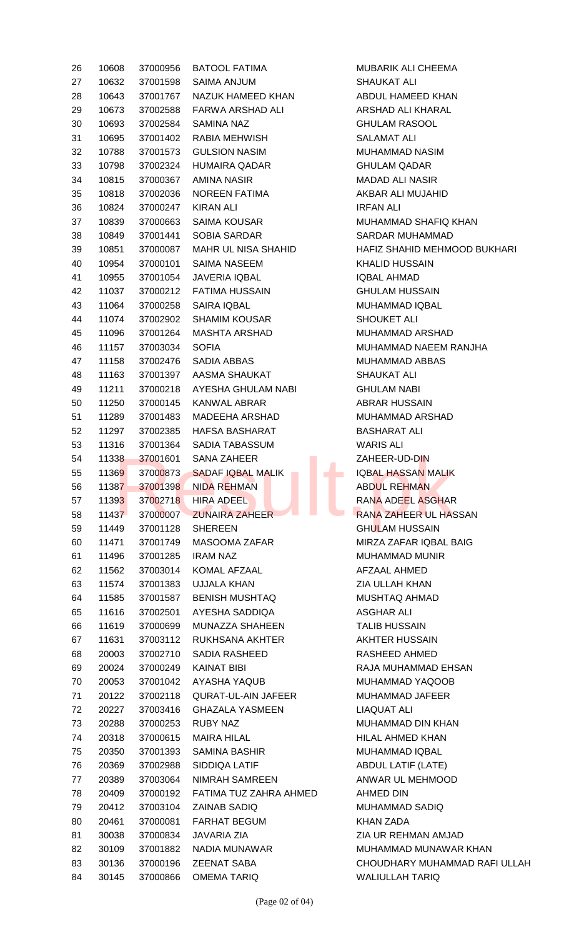| 26 | 10608 | 37000956 | <b>BATOOL FATIMA</b>       | MUBARIK ALI CHEEMA        |
|----|-------|----------|----------------------------|---------------------------|
| 27 | 10632 | 37001598 | SAIMA ANJUM                | <b>SHAUKAT ALI</b>        |
| 28 | 10643 | 37001767 | NAZUK HAMEED KHAN          | ABDUL HAMEED KHAN         |
| 29 | 10673 | 37002588 | FARWA ARSHAD ALI           | ARSHAD ALI KHARAL         |
| 30 | 10693 | 37002584 | <b>SAMINA NAZ</b>          | <b>GHULAM RASOOL</b>      |
| 31 | 10695 | 37001402 | RABIA MEHWISH              | <b>SALAMAT ALI</b>        |
| 32 | 10788 | 37001573 | <b>GULSION NASIM</b>       | MUHAMMAD NASIM            |
| 33 | 10798 | 37002324 | <b>HUMAIRA QADAR</b>       | <b>GHULAM QADAR</b>       |
| 34 | 10815 | 37000367 | AMINA NASIR                | <b>MADAD ALI NASIR</b>    |
| 35 | 10818 | 37002036 | NOREEN FATIMA              | AKBAR ALI MUJAHID         |
| 36 | 10824 | 37000247 | <b>KIRAN ALI</b>           | <b>IRFAN ALI</b>          |
| 37 | 10839 | 37000663 | SAIMA KOUSAR               | <b>MUHAMMAD SHAFIQ I</b>  |
| 38 | 10849 | 37001441 | SOBIA SARDAR               | <b>SARDAR MUHAMMAD</b>    |
| 39 | 10851 | 37000087 | <b>MAHR UL NISA SHAHID</b> | <b>HAFIZ SHAHID MEHMO</b> |
| 40 | 10954 | 37000101 | SAIMA NASEEM               | <b>KHALID HUSSAIN</b>     |
| 41 | 10955 | 37001054 | <b>JAVERIA IQBAL</b>       | <b>IQBAL AHMAD</b>        |
| 42 | 11037 | 37000212 | <b>FATIMA HUSSAIN</b>      | <b>GHULAM HUSSAIN</b>     |
| 43 | 11064 | 37000258 | <b>SAIRA IQBAL</b>         | MUHAMMAD IQBAL            |
| 44 | 11074 | 37002902 | <b>SHAMIM KOUSAR</b>       | SHOUKET ALI               |
| 45 | 11096 | 37001264 | <b>MASHTA ARSHAD</b>       | MUHAMMAD ARSHAD           |
| 46 | 11157 | 37003034 | <b>SOFIA</b>               | <b>MUHAMMAD NAEEM F</b>   |
| 47 | 11158 | 37002476 | SADIA ABBAS                | MUHAMMAD ABBAS            |
| 48 | 11163 | 37001397 | AASMA SHAUKAT              | <b>SHAUKAT ALI</b>        |
| 49 | 11211 | 37000218 | AYESHA GHULAM NABI         | <b>GHULAM NABI</b>        |
| 50 | 11250 | 37000145 | KANWAL ABRAR               | <b>ABRAR HUSSAIN</b>      |
| 51 | 11289 | 37001483 | MADEEHA ARSHAD             | MUHAMMAD ARSHAD           |
| 52 | 11297 | 37002385 | HAFSA BASHARAT             | <b>BASHARAT ALI</b>       |
| 53 | 11316 | 37001364 | SADIA TABASSUM             | <b>WARIS ALI</b>          |
| 54 | 11338 | 37001601 | <b>SANA ZAHEER</b>         | ZAHEER-UD-DIN             |
| 55 | 11369 | 37000873 | <b>SADAF IQBAL MALIK</b>   | <b>IQBAL HASSAN MALIK</b> |
| 56 | 11387 | 37001398 | <b>NIDA REHMAN</b>         | <b>ABDUL REHMAN</b>       |
| 57 | 11393 | 37002718 | HIRA ADEEL                 | RANA ADEEL ASGHAF         |
| 58 | 11437 | 37000007 | <b>ZUNAIRA ZAHEER</b>      | <b>RANA ZAHEER UL HAS</b> |
| 59 | 11449 | 37001128 | <b>SHEREEN</b>             | <b>GHULAM HUSSAIN</b>     |
| 60 | 11471 | 37001749 | MASOOMA ZAFAR              | MIRZA ZAFAR IQBAL E       |
| 61 | 11496 | 37001285 | <b>IRAM NAZ</b>            | MUHAMMAD MUNIR            |
| 62 | 11562 | 37003014 | KOMAL AFZAAL               | AFZAAL AHMED              |
| 63 | 11574 | 37001383 | <b>UJJALA KHAN</b>         | ZIA ULLAH KHAN            |
| 64 | 11585 | 37001587 | <b>BENISH MUSHTAQ</b>      | MUSHTAQ AHMAD             |
| 65 | 11616 | 37002501 | AYESHA SADDIQA             | <b>ASGHAR ALI</b>         |
| 66 | 11619 | 37000699 | MUNAZZA SHAHEEN            | <b>TALIB HUSSAIN</b>      |
| 67 | 11631 | 37003112 | RUKHSANA AKHTER            | AKHTER HUSSAIN            |
| 68 | 20003 | 37002710 | SADIA RASHEED              | RASHEED AHMED             |
| 69 | 20024 | 37000249 | <b>KAINAT BIBI</b>         | RAJA MUHAMMAD EH          |
| 70 | 20053 | 37001042 | AYASHA YAQUB               | MUHAMMAD YAQOOB           |
| 71 | 20122 | 37002118 | <b>QURAT-UL-AIN JAFEER</b> | MUHAMMAD JAFEER           |
| 72 | 20227 | 37003416 | <b>GHAZALA YASMEEN</b>     | <b>LIAQUAT ALI</b>        |
| 73 | 20288 | 37000253 | <b>RUBY NAZ</b>            | <b>MUHAMMAD DIN KHAI</b>  |
| 74 | 20318 | 37000615 | MAIRA HILAL                | HILAL AHMED KHAN          |
| 75 | 20350 | 37001393 | <b>SAMINA BASHIR</b>       | MUHAMMAD IQBAL            |
| 76 | 20369 | 37002988 | SIDDIQA LATIF              | <b>ABDUL LATIF (LATE)</b> |
| 77 | 20389 | 37003064 | NIMRAH SAMREEN             | ANWAR UL MEHMOOD          |
| 78 | 20409 | 37000192 | FATIMA TUZ ZAHRA AHMED     | AHMED DIN                 |
| 79 | 20412 | 37003104 | ZAINAB SADIQ               | <b>MUHAMMAD SADIQ</b>     |
| 80 | 20461 | 37000081 | <b>FARHAT BEGUM</b>        | <b>KHAN ZADA</b>          |
| 81 | 30038 | 37000834 | <b>JAVARIA ZIA</b>         | ZIA UR REHMAN AMJA        |
| 82 | 30109 | 37001882 | NADIA MUNAWAR              | MUHAMMAD MUNAWA           |
| 83 | 30136 | 37000196 | <b>ZEENAT SABA</b>         | <b>CHOUDHARY MUHAM</b>    |
| 84 | 30145 | 37000866 | <b>OMEMA TARIQ</b>         | <b>WALIULLAH TARIQ</b>    |

MUBARIK ALI CHEEMA SHAUKAT ALI ABDUL HAMEED KHAN ARSHAD ALI KHARAL **GHULAM RASOOL** SALAMAT ALI MUHAMMAD NASIM GHULAM QADAR **MADAD ALI NASIR** AKBAR ALI MUJAHID **IRFAN ALI** MUHAMMAD SHAFIQ KHAN SARDAR MUHAMMAD HAFIZ SHAHID MEHMOOD BUKHARI KHALID HUSSAIN **IQBAL AHMAD GHULAM HUSSAIN** MUHAMMAD IQBAL SHOUKET ALI MUHAMMAD ARSHAD MUHAMMAD NAEEM RANJHA MUHAMMAD ABBAS SHAUKAT ALI **GHULAM NABI** ABRAR HUSSAIN MUHAMMAD ARSHAD BASHARAT ALI WARIS ALI ZAHEER-UD-DIN IQBAL HASSAN MALIK ABDUL REHMAN RANA ADEEL ASGHAR RANA ZAHEER UL HASSAN **GHULAM HUSSAIN** MIRZA ZAFAR IQBAL BAIG MUHAMMAD MUNIR AFZAAL AHMED **ZIA ULLAH KHAN** MUSHTAQ AHMAD ASGHAR ALI **TALIB HUSSAIN** AKHTER HUSSAIN RASHEED AHMED RAJA MUHAMMAD EHSAN MUHAMMAD YAQOOB MUHAMMAD JAFEER LIAQUAT ALI MUHAMMAD DIN KHAN HILAL AHMED KHAN MUHAMMAD IQBAL ABDUL LATIF (LATE) ANWAR UL MEHMOOD AHMED DIN MUHAMMAD SADIQ KHAN ZADA **ZIA UR REHMAN AMJAD** MUHAMMAD MUNAWAR KHAN CHOUDHARY MUHAMMAD RAFI ULLAH WALIULLAH TARIQ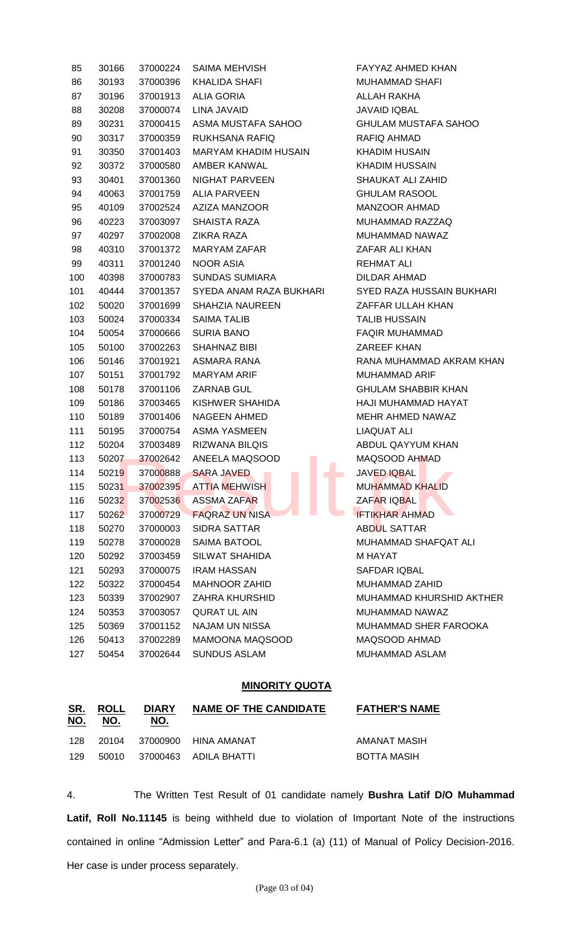| 85  | 30166 | 37000224 | SAIMA MEHVISH                                | FAYYAZ AHMED KHAN                                                                                                                                                                                                                                   |
|-----|-------|----------|----------------------------------------------|-----------------------------------------------------------------------------------------------------------------------------------------------------------------------------------------------------------------------------------------------------|
| 86  | 30193 | 37000396 | KHALIDA SHAFI                                | <b>MUHAMMAD SHAFI</b>                                                                                                                                                                                                                               |
| 87  | 30196 | 37001913 | ALIA GORIA                                   | ALLAH RAKHA                                                                                                                                                                                                                                         |
| 88  | 30208 | 37000074 | LINA JAVAID                                  | <b>JAVAID IQBAL</b>                                                                                                                                                                                                                                 |
| 89  | 30231 | 37000415 | ASMA MUSTAFA SAHOO                           | <b>GHULAM MUSTAFA SAHOO</b>                                                                                                                                                                                                                         |
| 90  | 30317 | 37000359 | <b>RUKHSANA RAFIQ</b>                        | RAFIQ AHMAD                                                                                                                                                                                                                                         |
| 91  | 30350 | 37001403 | MARYAM KHADIM HUSAIN                         | <b>KHADIM HUSAIN</b>                                                                                                                                                                                                                                |
| 92  | 30372 | 37000580 | AMBER KANWAL                                 | <b>KHADIM HUSSAIN</b>                                                                                                                                                                                                                               |
| 93  | 30401 | 37001360 | NIGHAT PARVEEN                               | SHAUKAT ALI ZAHID                                                                                                                                                                                                                                   |
| 94  | 40063 | 37001759 | ALIA PARVEEN                                 | <b>GHULAM RASOOL</b>                                                                                                                                                                                                                                |
| 95  | 40109 | 37002524 | AZIZA MANZOOR                                | MANZOOR AHMAD                                                                                                                                                                                                                                       |
| 96  | 40223 | 37003097 | SHAISTA RAZA                                 | MUHAMMAD RAZZAQ                                                                                                                                                                                                                                     |
| 97  | 40297 | 37002008 | <b>ZIKRA RAZA</b>                            | MUHAMMAD NAWAZ                                                                                                                                                                                                                                      |
| 98  | 40310 | 37001372 | MARYAM ZAFAR                                 | ZAFAR ALI KHAN                                                                                                                                                                                                                                      |
| 99  | 40311 | 37001240 | <b>NOOR ASIA</b>                             | <b>REHMAT ALI</b>                                                                                                                                                                                                                                   |
| 100 | 40398 | 37000783 | <b>SUNDAS SUMIARA</b>                        | DILDAR AHMAD                                                                                                                                                                                                                                        |
| 101 | 40444 | 37001357 | SYEDA ANAM RAZA BUKHARI                      | SYED RAZA HUSSAIN BUKHARI                                                                                                                                                                                                                           |
| 102 | 50020 | 37001699 | SHAHZIA NAUREEN                              | ZAFFAR ULLAH KHAN                                                                                                                                                                                                                                   |
| 103 | 50024 | 37000334 | <b>SAIMA TALIB</b>                           | <b>TALIB HUSSAIN</b>                                                                                                                                                                                                                                |
| 104 | 50054 | 37000666 | <b>SURIA BANO</b>                            | <b>FAQIR MUHAMMAD</b>                                                                                                                                                                                                                               |
| 105 | 50100 | 37002263 | SHAHNAZ BIBI                                 | ZAREEF KHAN                                                                                                                                                                                                                                         |
| 106 | 50146 | 37001921 | ASMARA RANA                                  | RANA MUHAMMAD AKRAM KHAN                                                                                                                                                                                                                            |
| 107 | 50151 | 37001792 | MARYAM ARIF                                  | <b>MUHAMMAD ARIF</b>                                                                                                                                                                                                                                |
| 108 | 50178 | 37001106 | ZARNAB GUL                                   | <b>GHULAM SHABBIR KHAN</b>                                                                                                                                                                                                                          |
| 109 | 50186 | 37003465 | KISHWER SHAHIDA                              | HAJI MUHAMMAD HAYAT                                                                                                                                                                                                                                 |
| 110 | 50189 | 37001406 | NAGEEN AHMED                                 | MEHR AHMED NAWAZ                                                                                                                                                                                                                                    |
| 111 | 50195 | 37000754 | ASMA YASMEEN                                 | LIAQUAT ALI                                                                                                                                                                                                                                         |
| 112 | 50204 | 37003489 | RIZWANA BILQIS                               | ABDUL QAYYUM KHAN                                                                                                                                                                                                                                   |
| 113 | 50207 | 37002642 | ANEELA MAQSOOD                               | MAQSOOD AHMAD                                                                                                                                                                                                                                       |
| 114 | 50219 | 37000888 | <b>SARA JAVED</b><br>the company of the com- | JAVED IQBAL<br><u>and the contract of the contract of the contract of the contract of the contract of the contract of the contract of the contract of the contract of the contract of the contract of the contract of the contract of the contr</u> |
| 115 | 50231 | 37002395 | <b>ATTIA MEHWISH</b>                         | <b>MUHAMMAD KHALID</b>                                                                                                                                                                                                                              |
| 116 | 50232 | 37002536 | <b>ASSMA ZAFAR</b>                           | <b>ZAFAR IQBAL</b>                                                                                                                                                                                                                                  |
| 117 | 50262 | 37000729 | <b>FAQRAZ UN NISA</b>                        | <b>IFTIKHAR AHMAD</b>                                                                                                                                                                                                                               |
| 118 | 50270 | 37000003 | SIDRA SATTAR                                 | ABDUL SATTAR                                                                                                                                                                                                                                        |
| 119 | 50278 | 37000028 | <b>SAIMA BATOOL</b>                          | MUHAMMAD SHAFQAT ALI                                                                                                                                                                                                                                |
| 120 | 50292 | 37003459 | SILWAT SHAHIDA                               | M HAYAT                                                                                                                                                                                                                                             |
| 121 | 50293 | 37000075 | <b>IRAM HASSAN</b>                           | SAFDAR IQBAL                                                                                                                                                                                                                                        |
| 122 | 50322 | 37000454 | <b>MAHNOOR ZAHID</b>                         | MUHAMMAD ZAHID                                                                                                                                                                                                                                      |
| 123 | 50339 | 37002907 | ZAHRA KHURSHID                               | MUHAMMAD KHURSHID AKTHER                                                                                                                                                                                                                            |
| 124 | 50353 | 37003057 | QURAT UL AIN                                 | MUHAMMAD NAWAZ                                                                                                                                                                                                                                      |
| 125 | 50369 | 37001152 | NAJAM UN NISSA                               | MUHAMMAD SHER FAROOKA                                                                                                                                                                                                                               |
| 126 | 50413 | 37002289 | MAMOONA MAQSOOD                              | MAQSOOD AHMAD                                                                                                                                                                                                                                       |
| 127 | 50454 | 37002644 | <b>SUNDUS ASLAM</b>                          | MUHAMMAD ASLAM                                                                                                                                                                                                                                      |

#### **MINORITY QUOTA**

| <u>SR.</u><br><u>NO.</u> | <b>ROLL</b><br>NO. | <b>DIARY</b><br>NO. | <b>NAME OF THE CANDIDATE</b> | <b>FATHER'S NAME</b> |
|--------------------------|--------------------|---------------------|------------------------------|----------------------|
| 128                      | 20104              |                     | 37000900 HINA AMANAT         | AMANAT MASIH         |
| 129                      | 50010              |                     | 37000463  ADILA BHATTI       | BOTTA MASIH          |

4. The Written Test Result of 01 candidate namely **Bushra Latif D/O Muhammad Latif, Roll No.11145** is being withheld due to violation of Important Note of the instructions contained in online "Admission Letter" and Para-6.1 (a) (11) of Manual of Policy Decision-2016. Her case is under process separately.